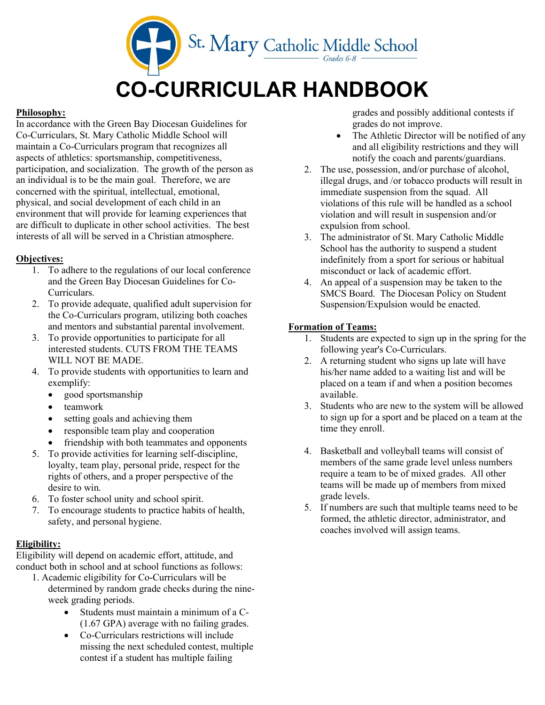

### Philosophy:

In accordance with the Green Bay Diocesan Guidelines for Co-Curriculars, St. Mary Catholic Middle School will maintain a Co-Curriculars program that recognizes all aspects of athletics: sportsmanship, competitiveness, participation, and socialization. The growth of the person as an individual is to be the main goal. Therefore, we are concerned with the spiritual, intellectual, emotional, physical, and social development of each child in an environment that will provide for learning experiences that are difficult to duplicate in other school activities. The best interests of all will be served in a Christian atmosphere.

### Objectives:

- 1. To adhere to the regulations of our local conference and the Green Bay Diocesan Guidelines for Co-Curriculars.
- 2. To provide adequate, qualified adult supervision for the Co-Curriculars program, utilizing both coaches and mentors and substantial parental involvement.
- 3. To provide opportunities to participate for all interested students. CUTS FROM THE TEAMS WILL NOT BE MADE.
- 4. To provide students with opportunities to learn and exemplify:
	- good sportsmanship
	- teamwork
	- setting goals and achieving them
	- responsible team play and cooperation
	- friendship with both teammates and opponents
- 5. To provide activities for learning self-discipline, loyalty, team play, personal pride, respect for the rights of others, and a proper perspective of the desire to win.
- 6. To foster school unity and school spirit.
- 7. To encourage students to practice habits of health, safety, and personal hygiene.

#### Eligibility:

Eligibility will depend on academic effort, attitude, and conduct both in school and at school functions as follows:

- 1. Academic eligibility for Co-Curriculars will be determined by random grade checks during the nineweek grading periods.
	- Students must maintain a minimum of a C- (1.67 GPA) average with no failing grades.
	- Co-Curriculars restrictions will include missing the next scheduled contest, multiple contest if a student has multiple failing

grades and possibly additional contests if grades do not improve.

- The Athletic Director will be notified of any and all eligibility restrictions and they will notify the coach and parents/guardians.
- 2. The use, possession, and/or purchase of alcohol, illegal drugs, and /or tobacco products will result in immediate suspension from the squad. All violations of this rule will be handled as a school violation and will result in suspension and/or expulsion from school.
- 3. The administrator of St. Mary Catholic Middle School has the authority to suspend a student indefinitely from a sport for serious or habitual misconduct or lack of academic effort.
- 4. An appeal of a suspension may be taken to the SMCS Board. The Diocesan Policy on Student Suspension/Expulsion would be enacted.

# Formation of Teams:

- 1. Students are expected to sign up in the spring for the following year's Co-Curriculars.
- 2. A returning student who signs up late will have his/her name added to a waiting list and will be placed on a team if and when a position becomes available.
- 3. Students who are new to the system will be allowed to sign up for a sport and be placed on a team at the time they enroll.
- 4. Basketball and volleyball teams will consist of members of the same grade level unless numbers require a team to be of mixed grades. All other teams will be made up of members from mixed grade levels.
- 5. If numbers are such that multiple teams need to be formed, the athletic director, administrator, and coaches involved will assign teams.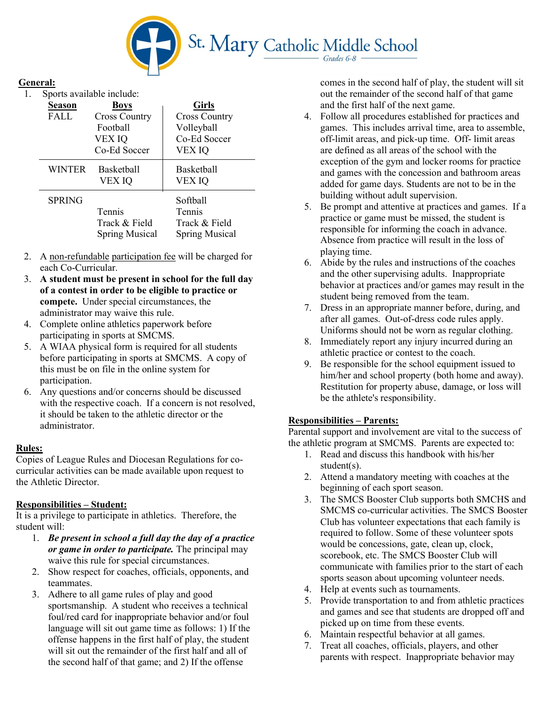

### General:

1. Sports available include:

| <b>Season</b><br>FALL | <b>Boys</b><br><b>Cross Country</b><br>Football<br>VEX IQ<br>Co-Ed Soccer | <b>Girls</b><br><b>Cross Country</b><br>Volleyball<br>Co-Ed Soccer<br>VEX IQ |
|-----------------------|---------------------------------------------------------------------------|------------------------------------------------------------------------------|
| <b>WINTER</b>         | <b>Basketball</b><br>VEX IQ                                               | <b>Basketball</b><br>VEX IQ                                                  |
| <b>SPRING</b>         | Tennis<br>Track & Field<br><b>Spring Musical</b>                          | Softball<br>Tennis<br>Track & Field<br><b>Spring Musical</b>                 |

- 2. A non-refundable participation fee will be charged for each Co-Curricular.
- 3. A student must be present in school for the full day of a contest in order to be eligible to practice or compete. Under special circumstances, the administrator may waive this rule.
- 4. Complete online athletics paperwork before participating in sports at SMCMS.
- 5. A WIAA physical form is required for all students before participating in sports at SMCMS. A copy of this must be on file in the online system for participation.
- 6. Any questions and/or concerns should be discussed with the respective coach. If a concern is not resolved, it should be taken to the athletic director or the administrator.

#### Rules:

Copies of League Rules and Diocesan Regulations for cocurricular activities can be made available upon request to the Athletic Director.

#### Responsibilities – Student:

It is a privilege to participate in athletics. Therefore, the student will:

- 1. Be present in school a full day the day of a practice or game in order to participate. The principal may waive this rule for special circumstances.
- 2. Show respect for coaches, officials, opponents, and teammates.
- 3. Adhere to all game rules of play and good sportsmanship. A student who receives a technical foul/red card for inappropriate behavior and/or foul language will sit out game time as follows: 1) If the offense happens in the first half of play, the student will sit out the remainder of the first half and all of the second half of that game; and 2) If the offense

comes in the second half of play, the student will sit out the remainder of the second half of that game and the first half of the next game.

- 4. Follow all procedures established for practices and games. This includes arrival time, area to assemble, off-limit areas, and pick-up time. Off- limit areas are defined as all areas of the school with the exception of the gym and locker rooms for practice and games with the concession and bathroom areas added for game days. Students are not to be in the building without adult supervision.
- 5. Be prompt and attentive at practices and games. If a practice or game must be missed, the student is responsible for informing the coach in advance. Absence from practice will result in the loss of playing time.
- 6. Abide by the rules and instructions of the coaches and the other supervising adults. Inappropriate behavior at practices and/or games may result in the student being removed from the team.
- 7. Dress in an appropriate manner before, during, and after all games. Out-of-dress code rules apply. Uniforms should not be worn as regular clothing.
- 8. Immediately report any injury incurred during an athletic practice or contest to the coach.
- 9. Be responsible for the school equipment issued to him/her and school property (both home and away). Restitution for property abuse, damage, or loss will be the athlete's responsibility.

#### Responsibilities – Parents:

Parental support and involvement are vital to the success of the athletic program at SMCMS. Parents are expected to:

- 1. Read and discuss this handbook with his/her student(s).
- 2. Attend a mandatory meeting with coaches at the beginning of each sport season.
- 3. The SMCS Booster Club supports both SMCHS and SMCMS co-curricular activities. The SMCS Booster Club has volunteer expectations that each family is required to follow. Some of these volunteer spots would be concessions, gate, clean up, clock, scorebook, etc. The SMCS Booster Club will communicate with families prior to the start of each sports season about upcoming volunteer needs.
- 4. Help at events such as tournaments.
- 5. Provide transportation to and from athletic practices and games and see that students are dropped off and picked up on time from these events.
- 6. Maintain respectful behavior at all games.
- 7. Treat all coaches, officials, players, and other parents with respect. Inappropriate behavior may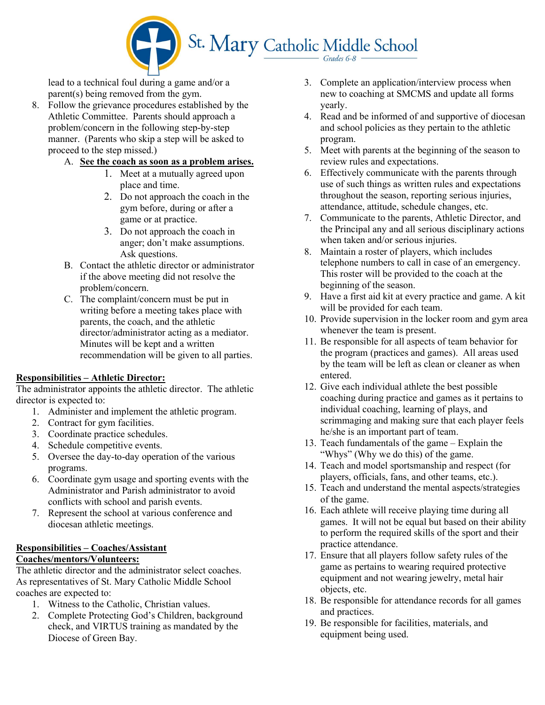

lead to a technical foul during a game and/or a parent(s) being removed from the gym.

- 8. Follow the grievance procedures established by the Athletic Committee. Parents should approach a problem/concern in the following step-by-step manner. (Parents who skip a step will be asked to proceed to the step missed.)
	- A. See the coach as soon as a problem arises.
		- 1. Meet at a mutually agreed upon place and time.
		- 2. Do not approach the coach in the gym before, during or after a game or at practice.
		- 3. Do not approach the coach in anger; don't make assumptions. Ask questions.
	- B. Contact the athletic director or administrator if the above meeting did not resolve the problem/concern.
	- C. The complaint/concern must be put in writing before a meeting takes place with parents, the coach, and the athletic director/administrator acting as a mediator. Minutes will be kept and a written recommendation will be given to all parties.

#### Responsibilities – Athletic Director:

The administrator appoints the athletic director. The athletic director is expected to:

- 1. Administer and implement the athletic program.
- 2. Contract for gym facilities.
- 3. Coordinate practice schedules.
- 4. Schedule competitive events.
- 5. Oversee the day-to-day operation of the various programs.
- 6. Coordinate gym usage and sporting events with the Administrator and Parish administrator to avoid conflicts with school and parish events.
- 7. Represent the school at various conference and diocesan athletic meetings.

# Responsibilities – Coaches/Assistant

# Coaches/mentors/Volunteers:

The athletic director and the administrator select coaches. As representatives of St. Mary Catholic Middle School coaches are expected to:

- 1. Witness to the Catholic, Christian values.
- 2. Complete Protecting God's Children, background check, and VIRTUS training as mandated by the Diocese of Green Bay.
- 3. Complete an application/interview process when new to coaching at SMCMS and update all forms yearly.
- 4. Read and be informed of and supportive of diocesan and school policies as they pertain to the athletic program.
- 5. Meet with parents at the beginning of the season to review rules and expectations.
- 6. Effectively communicate with the parents through use of such things as written rules and expectations throughout the season, reporting serious injuries, attendance, attitude, schedule changes, etc.
- 7. Communicate to the parents, Athletic Director, and the Principal any and all serious disciplinary actions when taken and/or serious injuries.
- 8. Maintain a roster of players, which includes telephone numbers to call in case of an emergency. This roster will be provided to the coach at the beginning of the season.
- 9. Have a first aid kit at every practice and game. A kit will be provided for each team.
- 10. Provide supervision in the locker room and gym area whenever the team is present.
- 11. Be responsible for all aspects of team behavior for the program (practices and games). All areas used by the team will be left as clean or cleaner as when entered.
- 12. Give each individual athlete the best possible coaching during practice and games as it pertains to individual coaching, learning of plays, and scrimmaging and making sure that each player feels he/she is an important part of team.
- 13. Teach fundamentals of the game Explain the "Whys" (Why we do this) of the game.
- 14. Teach and model sportsmanship and respect (for players, officials, fans, and other teams, etc.).
- 15. Teach and understand the mental aspects/strategies of the game.
- 16. Each athlete will receive playing time during all games. It will not be equal but based on their ability to perform the required skills of the sport and their practice attendance.
- 17. Ensure that all players follow safety rules of the game as pertains to wearing required protective equipment and not wearing jewelry, metal hair objects, etc.
- 18. Be responsible for attendance records for all games and practices.
- 19. Be responsible for facilities, materials, and equipment being used.